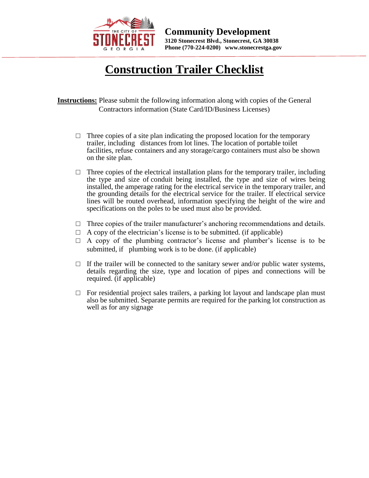

## **Construction Trailer Checklist**

**Instructions:** Please submit the following information along with copies of the General Contractors information (State Card/ID/Business Licenses)

- $\Box$  Three copies of a site plan indicating the proposed location for the temporary trailer, including distances from lot lines. The location of portable toilet facilities, refuse containers and any storage/cargo containers must also be shown on the site plan.
- $\Box$  Three copies of the electrical installation plans for the temporary trailer, including the type and size of conduit being installed, the type and size of wires being installed, the amperage rating for the electrical service in the temporary trailer, and the grounding details for the electrical service for the trailer. If electrical service lines will be routed overhead, information specifying the height of the wire and specifications on the poles to be used must also be provided.
- $\Box$  Three copies of the trailer manufacturer's anchoring recommendations and details.
- $\Box$  A copy of the electrician's license is to be submitted. (if applicable)
- $\Box$  A copy of the plumbing contractor's license and plumber's license is to be submitted, if plumbing work is to be done. (if applicable)
- $\Box$  If the trailer will be connected to the sanitary sewer and/or public water systems, details regarding the size, type and location of pipes and connections will be required.  $(i$ f applicable)
- $\Box$  For residential project sales trailers, a parking lot layout and landscape plan must also be submitted. Separate permits are required for the parking lot construction as well as for any signage